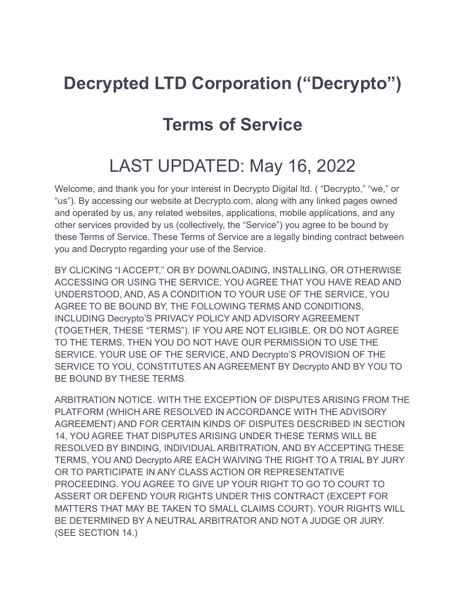## **Decrypted LTD Corporation ("Decrypto")**

## **Terms of Service**

## LAST UPDATED: May 16, 2022

Welcome, and thank you for your interest in Decrypto Digital ltd. ( "Decrypto," "we," or "us"). By accessing our website at Decrypto.com, along with any linked pages owned and operated by us, any related websites, applications, mobile applications, and any other services provided by us (collectively, the "Service") you agree to be bound by these Terms of Service. These Terms of Service are a legally binding contract between you and Decrypto regarding your use of the Service.

BY CLICKING "I ACCEPT," OR BY DOWNLOADING, INSTALLING, OR OTHERWISE ACCESSING OR USING THE SERVICE, YOU AGREE THAT YOU HAVE READ AND UNDERSTOOD, AND, AS A CONDITION TO YOUR USE OF THE SERVICE, YOU AGREE TO BE BOUND BY, THE FOLLOWING TERMS AND CONDITIONS, INCLUDING Decrypto'S PRIVACY POLICY AND ADVISORY AGREEMENT (TOGETHER, THESE "TERMS"). IF YOU ARE NOT ELIGIBLE, OR DO NOT AGREE TO THE TERMS, THEN YOU DO NOT HAVE OUR PERMISSION TO USE THE SERVICE. YOUR USE OF THE SERVICE, AND Decrypto'S PROVISION OF THE SERVICE TO YOU, CONSTITUTES AN AGREEMENT BY Decrypto AND BY YOU TO BE BOUND BY THESE TERMS.

ARBITRATION NOTICE. WITH THE EXCEPTION OF DISPUTES ARISING FROM THE PLATFORM (WHICH ARE RESOLVED IN ACCORDANCE WITH THE ADVISORY AGREEMENT) AND FOR CERTAIN KINDS OF DISPUTES DESCRIBED IN SECTION 14, YOU AGREE THAT DISPUTES ARISING UNDER THESE TERMS WILL BE RESOLVED BY BINDING, INDIVIDUAL ARBITRATION, AND BY ACCEPTING THESE TERMS, YOU AND Decrypto ARE EACH WAIVING THE RIGHT TO A TRIAL BY JURY OR TO PARTICIPATE IN ANY CLASS ACTION OR REPRESENTATIVE PROCEEDING. YOU AGREE TO GIVE UP YOUR RIGHT TO GO TO COURT TO ASSERT OR DEFEND YOUR RIGHTS UNDER THIS CONTRACT (EXCEPT FOR MATTERS THAT MAY BE TAKEN TO SMALL CLAIMS COURT). YOUR RIGHTS WILL BE DETERMINED BY A NEUTRAL ARBITRATOR AND NOT A JUDGE OR JURY. (SEE SECTION 14.)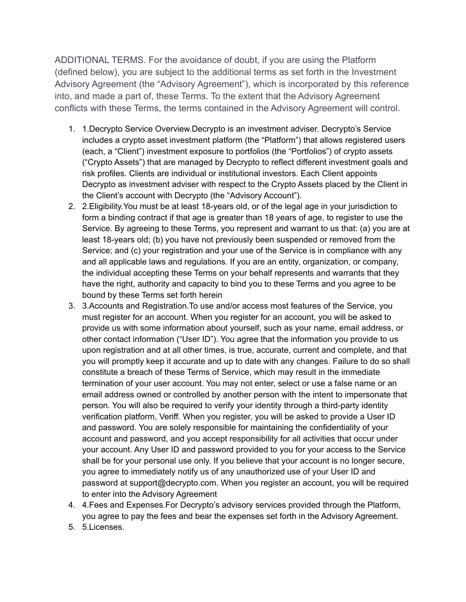ADDITIONAL TERMS. For the avoidance of doubt, if you are using the Platform (defined below), you are subject to the additional terms as set forth in the Investment Advisory Agreement (the "Advisory Agreement"), which is incorporated by this reference into, and made a part of, these Terms. To the extent that the Advisory Agreement conflicts with these Terms, the terms contained in the Advisory Agreement will control.

- 1. 1.Decrypto Service Overview.Decrypto is an investment adviser. Decrypto's Service includes a crypto asset investment platform (the "Platform") that allows registered users (each, a "Client") investment exposure to portfolios (the "Portfolios") of crypto assets ("Crypto Assets") that are managed by Decrypto to reflect different investment goals and risk profiles. Clients are individual or institutional investors. Each Client appoints Decrypto as investment adviser with respect to the Crypto Assets placed by the Client in the Client's account with Decrypto (the "Advisory Account").
- 2. 2.Eligibility.You must be at least 18-years old, or of the legal age in your jurisdiction to form a binding contract if that age is greater than 18 years of age, to register to use the Service. By agreeing to these Terms, you represent and warrant to us that: (a) you are at least 18-years old; (b) you have not previously been suspended or removed from the Service; and (c) your registration and your use of the Service is in compliance with any and all applicable laws and regulations. If you are an entity, organization, or company, the individual accepting these Terms on your behalf represents and warrants that they have the right, authority and capacity to bind you to these Terms and you agree to be bound by these Terms set forth herein
- 3. 3.Accounts and Registration.To use and/or access most features of the Service, you must register for an account. When you register for an account, you will be asked to provide us with some information about yourself, such as your name, email address, or other contact information ("User ID"). You agree that the information you provide to us upon registration and at all other times, is true, accurate, current and complete, and that you will promptly keep it accurate and up to date with any changes. Failure to do so shall constitute a breach of these Terms of Service, which may result in the immediate termination of your user account. You may not enter, select or use a false name or an email address owned or controlled by another person with the intent to impersonate that person. You will also be required to verify your identity through a third-party identity verification platform, Veriff. When you register, you will be asked to provide a User ID and password. You are solely responsible for maintaining the confidentiality of your account and password, and you accept responsibility for all activities that occur under your account. Any User ID and password provided to you for your access to the Service shall be for your personal use only. If you believe that your account is no longer secure, you agree to immediately notify us of any unauthorized use of your User ID and password at support@decrypto.com. When you register an account, you will be required to enter into the Advisory Agreement
- 4. 4.Fees and Expenses.For Decrypto's advisory services provided through the Platform, you agree to pay the fees and bear the expenses set forth in the Advisory Agreement.
- 5. 5.Licenses.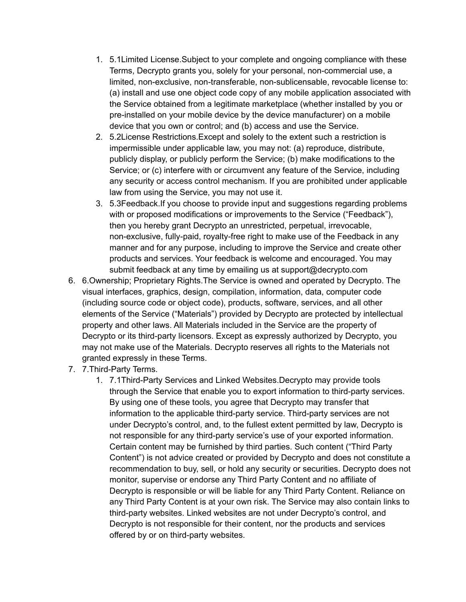- 1. 5.1Limited License.Subject to your complete and ongoing compliance with these Terms, Decrypto grants you, solely for your personal, non-commercial use, a limited, non-exclusive, non-transferable, non-sublicensable, revocable license to: (a) install and use one object code copy of any mobile application associated with the Service obtained from a legitimate marketplace (whether installed by you or pre-installed on your mobile device by the device manufacturer) on a mobile device that you own or control; and (b) access and use the Service.
- 2. 5.2License Restrictions.Except and solely to the extent such a restriction is impermissible under applicable law, you may not: (a) reproduce, distribute, publicly display, or publicly perform the Service; (b) make modifications to the Service; or (c) interfere with or circumvent any feature of the Service, including any security or access control mechanism. If you are prohibited under applicable law from using the Service, you may not use it.
- 3. 5.3Feedback.If you choose to provide input and suggestions regarding problems with or proposed modifications or improvements to the Service ("Feedback"), then you hereby grant Decrypto an unrestricted, perpetual, irrevocable, non-exclusive, fully-paid, royalty-free right to make use of the Feedback in any manner and for any purpose, including to improve the Service and create other products and services. Your feedback is welcome and encouraged. You may submit feedback at any time by emailing us at support@decrypto.com
- 6. 6.Ownership; Proprietary Rights.The Service is owned and operated by Decrypto. The visual interfaces, graphics, design, compilation, information, data, computer code (including source code or object code), products, software, services, and all other elements of the Service ("Materials") provided by Decrypto are protected by intellectual property and other laws. All Materials included in the Service are the property of Decrypto or its third-party licensors. Except as expressly authorized by Decrypto, you may not make use of the Materials. Decrypto reserves all rights to the Materials not granted expressly in these Terms.
- 7. 7.Third-Party Terms.
	- 1. 7.1Third-Party Services and Linked Websites.Decrypto may provide tools through the Service that enable you to export information to third-party services. By using one of these tools, you agree that Decrypto may transfer that information to the applicable third-party service. Third-party services are not under Decrypto's control, and, to the fullest extent permitted by law, Decrypto is not responsible for any third-party service's use of your exported information. Certain content may be furnished by third parties. Such content ("Third Party Content") is not advice created or provided by Decrypto and does not constitute a recommendation to buy, sell, or hold any security or securities. Decrypto does not monitor, supervise or endorse any Third Party Content and no affiliate of Decrypto is responsible or will be liable for any Third Party Content. Reliance on any Third Party Content is at your own risk. The Service may also contain links to third-party websites. Linked websites are not under Decrypto's control, and Decrypto is not responsible for their content, nor the products and services offered by or on third-party websites.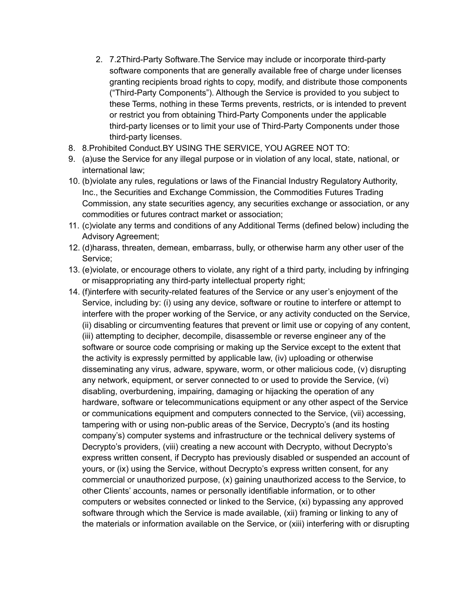- 2. 7.2Third-Party Software.The Service may include or incorporate third-party software components that are generally available free of charge under licenses granting recipients broad rights to copy, modify, and distribute those components ("Third-Party Components"). Although the Service is provided to you subject to these Terms, nothing in these Terms prevents, restricts, or is intended to prevent or restrict you from obtaining Third-Party Components under the applicable third-party licenses or to limit your use of Third-Party Components under those third-party licenses.
- 8. 8.Prohibited Conduct.BY USING THE SERVICE, YOU AGREE NOT TO:
- 9. (a)use the Service for any illegal purpose or in violation of any local, state, national, or international law;
- 10. (b)violate any rules, regulations or laws of the Financial Industry Regulatory Authority, Inc., the Securities and Exchange Commission, the Commodities Futures Trading Commission, any state securities agency, any securities exchange or association, or any commodities or futures contract market or association;
- 11. (c)violate any terms and conditions of any Additional Terms (defined below) including the Advisory Agreement;
- 12. (d)harass, threaten, demean, embarrass, bully, or otherwise harm any other user of the Service;
- 13. (e)violate, or encourage others to violate, any right of a third party, including by infringing or misappropriating any third-party intellectual property right;
- 14. (f)interfere with security-related features of the Service or any user's enjoyment of the Service, including by: (i) using any device, software or routine to interfere or attempt to interfere with the proper working of the Service, or any activity conducted on the Service, (ii) disabling or circumventing features that prevent or limit use or copying of any content, (iii) attempting to decipher, decompile, disassemble or reverse engineer any of the software or source code comprising or making up the Service except to the extent that the activity is expressly permitted by applicable law, (iv) uploading or otherwise disseminating any virus, adware, spyware, worm, or other malicious code, (v) disrupting any network, equipment, or server connected to or used to provide the Service, (vi) disabling, overburdening, impairing, damaging or hijacking the operation of any hardware, software or telecommunications equipment or any other aspect of the Service or communications equipment and computers connected to the Service, (vii) accessing, tampering with or using non-public areas of the Service, Decrypto's (and its hosting company's) computer systems and infrastructure or the technical delivery systems of Decrypto's providers, (viii) creating a new account with Decrypto, without Decrypto's express written consent, if Decrypto has previously disabled or suspended an account of yours, or (ix) using the Service, without Decrypto's express written consent, for any commercial or unauthorized purpose, (x) gaining unauthorized access to the Service, to other Clients' accounts, names or personally identifiable information, or to other computers or websites connected or linked to the Service, (xi) bypassing any approved software through which the Service is made available, (xii) framing or linking to any of the materials or information available on the Service, or (xiii) interfering with or disrupting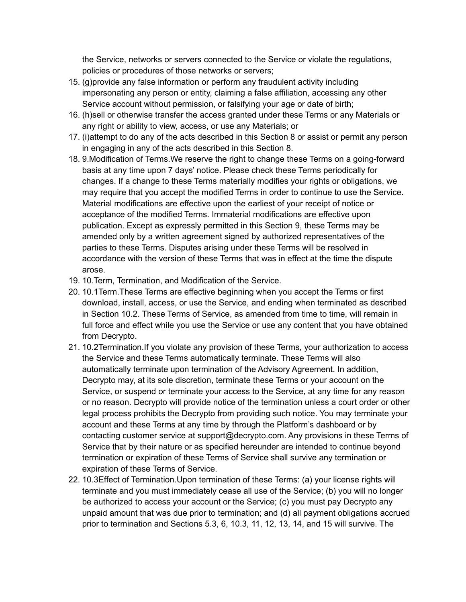the Service, networks or servers connected to the Service or violate the regulations, policies or procedures of those networks or servers;

- 15. (g)provide any false information or perform any fraudulent activity including impersonating any person or entity, claiming a false affiliation, accessing any other Service account without permission, or falsifying your age or date of birth;
- 16. (h)sell or otherwise transfer the access granted under these Terms or any Materials or any right or ability to view, access, or use any Materials; or
- 17. (i)attempt to do any of the acts described in this Section 8 or assist or permit any person in engaging in any of the acts described in this Section 8.
- 18. 9.Modification of Terms.We reserve the right to change these Terms on a going-forward basis at any time upon 7 days' notice. Please check these Terms periodically for changes. If a change to these Terms materially modifies your rights or obligations, we may require that you accept the modified Terms in order to continue to use the Service. Material modifications are effective upon the earliest of your receipt of notice or acceptance of the modified Terms. Immaterial modifications are effective upon publication. Except as expressly permitted in this Section 9, these Terms may be amended only by a written agreement signed by authorized representatives of the parties to these Terms. Disputes arising under these Terms will be resolved in accordance with the version of these Terms that was in effect at the time the dispute arose.
- 19. 10.Term, Termination, and Modification of the Service.
- 20. 10.1Term.These Terms are effective beginning when you accept the Terms or first download, install, access, or use the Service, and ending when terminated as described in Section 10.2. These Terms of Service, as amended from time to time, will remain in full force and effect while you use the Service or use any content that you have obtained from Decrypto.
- 21. 10.2Termination.If you violate any provision of these Terms, your authorization to access the Service and these Terms automatically terminate. These Terms will also automatically terminate upon termination of the Advisory Agreement. In addition, Decrypto may, at its sole discretion, terminate these Terms or your account on the Service, or suspend or terminate your access to the Service, at any time for any reason or no reason. Decrypto will provide notice of the termination unless a court order or other legal process prohibits the Decrypto from providing such notice. You may terminate your account and these Terms at any time by through the Platform's dashboard or by contacting customer service at support@decrypto.com. Any provisions in these Terms of Service that by their nature or as specified hereunder are intended to continue beyond termination or expiration of these Terms of Service shall survive any termination or expiration of these Terms of Service.
- 22. 10.3Effect of Termination.Upon termination of these Terms: (a) your license rights will terminate and you must immediately cease all use of the Service; (b) you will no longer be authorized to access your account or the Service; (c) you must pay Decrypto any unpaid amount that was due prior to termination; and (d) all payment obligations accrued prior to termination and Sections 5.3, 6, 10.3, 11, 12, 13, 14, and 15 will survive. The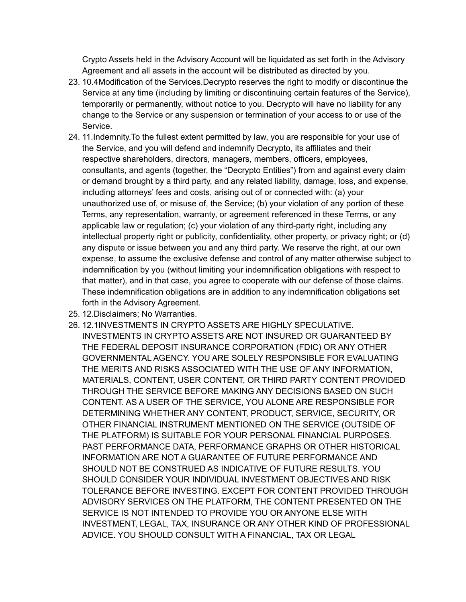Crypto Assets held in the Advisory Account will be liquidated as set forth in the Advisory Agreement and all assets in the account will be distributed as directed by you.

- 23. 10.4Modification of the Services.Decrypto reserves the right to modify or discontinue the Service at any time (including by limiting or discontinuing certain features of the Service), temporarily or permanently, without notice to you. Decrypto will have no liability for any change to the Service or any suspension or termination of your access to or use of the Service.
- 24. 11.Indemnity.To the fullest extent permitted by law, you are responsible for your use of the Service, and you will defend and indemnify Decrypto, its affiliates and their respective shareholders, directors, managers, members, officers, employees, consultants, and agents (together, the "Decrypto Entities") from and against every claim or demand brought by a third party, and any related liability, damage, loss, and expense, including attorneys' fees and costs, arising out of or connected with: (a) your unauthorized use of, or misuse of, the Service; (b) your violation of any portion of these Terms, any representation, warranty, or agreement referenced in these Terms, or any applicable law or regulation; (c) your violation of any third-party right, including any intellectual property right or publicity, confidentiality, other property, or privacy right; or (d) any dispute or issue between you and any third party. We reserve the right, at our own expense, to assume the exclusive defense and control of any matter otherwise subject to indemnification by you (without limiting your indemnification obligations with respect to that matter), and in that case, you agree to cooperate with our defense of those claims. These indemnification obligations are in addition to any indemnification obligations set forth in the Advisory Agreement.
- 25. 12.Disclaimers; No Warranties.
- 26. 12.1INVESTMENTS IN CRYPTO ASSETS ARE HIGHLY SPECULATIVE. INVESTMENTS IN CRYPTO ASSETS ARE NOT INSURED OR GUARANTEED BY THE FEDERAL DEPOSIT INSURANCE CORPORATION (FDIC) OR ANY OTHER GOVERNMENTAL AGENCY. YOU ARE SOLELY RESPONSIBLE FOR EVALUATING THE MERITS AND RISKS ASSOCIATED WITH THE USE OF ANY INFORMATION, MATERIALS, CONTENT, USER CONTENT, OR THIRD PARTY CONTENT PROVIDED THROUGH THE SERVICE BEFORE MAKING ANY DECISIONS BASED ON SUCH CONTENT. AS A USER OF THE SERVICE, YOU ALONE ARE RESPONSIBLE FOR DETERMINING WHETHER ANY CONTENT, PRODUCT, SERVICE, SECURITY, OR OTHER FINANCIAL INSTRUMENT MENTIONED ON THE SERVICE (OUTSIDE OF THE PLATFORM) IS SUITABLE FOR YOUR PERSONAL FINANCIAL PURPOSES. PAST PERFORMANCE DATA, PERFORMANCE GRAPHS OR OTHER HISTORICAL INFORMATION ARE NOT A GUARANTEE OF FUTURE PERFORMANCE AND SHOULD NOT BE CONSTRUED AS INDICATIVE OF FUTURE RESULTS. YOU SHOULD CONSIDER YOUR INDIVIDUAL INVESTMENT OBJECTIVES AND RISK TOLERANCE BEFORE INVESTING. EXCEPT FOR CONTENT PROVIDED THROUGH ADVISORY SERVICES ON THE PLATFORM, THE CONTENT PRESENTED ON THE SERVICE IS NOT INTENDED TO PROVIDE YOU OR ANYONE ELSE WITH INVESTMENT, LEGAL, TAX, INSURANCE OR ANY OTHER KIND OF PROFESSIONAL ADVICE. YOU SHOULD CONSULT WITH A FINANCIAL, TAX OR LEGAL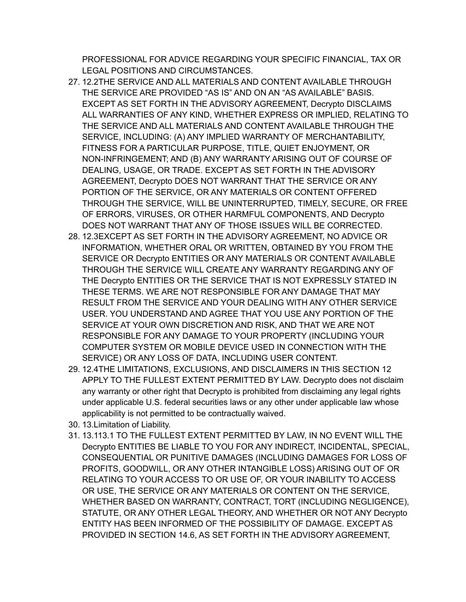PROFESSIONAL FOR ADVICE REGARDING YOUR SPECIFIC FINANCIAL, TAX OR LEGAL POSITIONS AND CIRCUMSTANCES.

- 27. 12.2THE SERVICE AND ALL MATERIALS AND CONTENT AVAILABLE THROUGH THE SERVICE ARE PROVIDED "AS IS" AND ON AN "AS AVAILABLE" BASIS. EXCEPT AS SET FORTH IN THE ADVISORY AGREEMENT, Decrypto DISCLAIMS ALL WARRANTIES OF ANY KIND, WHETHER EXPRESS OR IMPLIED, RELATING TO THE SERVICE AND ALL MATERIALS AND CONTENT AVAILABLE THROUGH THE SERVICE, INCLUDING: (A) ANY IMPLIED WARRANTY OF MERCHANTABILITY, FITNESS FOR A PARTICULAR PURPOSE, TITLE, QUIET ENJOYMENT, OR NON-INFRINGEMENT; AND (B) ANY WARRANTY ARISING OUT OF COURSE OF DEALING, USAGE, OR TRADE. EXCEPT AS SET FORTH IN THE ADVISORY AGREEMENT, Decrypto DOES NOT WARRANT THAT THE SERVICE OR ANY PORTION OF THE SERVICE, OR ANY MATERIALS OR CONTENT OFFERED THROUGH THE SERVICE, WILL BE UNINTERRUPTED, TIMELY, SECURE, OR FREE OF ERRORS, VIRUSES, OR OTHER HARMFUL COMPONENTS, AND Decrypto DOES NOT WARRANT THAT ANY OF THOSE ISSUES WILL BE CORRECTED.
- 28. 12.3EXCEPT AS SET FORTH IN THE ADVISORY AGREEMENT, NO ADVICE OR INFORMATION, WHETHER ORAL OR WRITTEN, OBTAINED BY YOU FROM THE SERVICE OR Decrypto ENTITIES OR ANY MATERIALS OR CONTENT AVAILABLE THROUGH THE SERVICE WILL CREATE ANY WARRANTY REGARDING ANY OF THE Decrypto ENTITIES OR THE SERVICE THAT IS NOT EXPRESSLY STATED IN THESE TERMS. WE ARE NOT RESPONSIBLE FOR ANY DAMAGE THAT MAY RESULT FROM THE SERVICE AND YOUR DEALING WITH ANY OTHER SERVICE USER. YOU UNDERSTAND AND AGREE THAT YOU USE ANY PORTION OF THE SERVICE AT YOUR OWN DISCRETION AND RISK, AND THAT WE ARE NOT RESPONSIBLE FOR ANY DAMAGE TO YOUR PROPERTY (INCLUDING YOUR COMPUTER SYSTEM OR MOBILE DEVICE USED IN CONNECTION WITH THE SERVICE) OR ANY LOSS OF DATA, INCLUDING USER CONTENT.
- 29. 12.4THE LIMITATIONS, EXCLUSIONS, AND DISCLAIMERS IN THIS SECTION 12 APPLY TO THE FULLEST EXTENT PERMITTED BY LAW. Decrypto does not disclaim any warranty or other right that Decrypto is prohibited from disclaiming any legal rights under applicable U.S. federal securities laws or any other under applicable law whose applicability is not permitted to be contractually waived.
- 30. 13.Limitation of Liability.
- 31. 13.113.1 TO THE FULLEST EXTENT PERMITTED BY LAW, IN NO EVENT WILL THE Decrypto ENTITIES BE LIABLE TO YOU FOR ANY INDIRECT, INCIDENTAL, SPECIAL, CONSEQUENTIAL OR PUNITIVE DAMAGES (INCLUDING DAMAGES FOR LOSS OF PROFITS, GOODWILL, OR ANY OTHER INTANGIBLE LOSS) ARISING OUT OF OR RELATING TO YOUR ACCESS TO OR USE OF, OR YOUR INABILITY TO ACCESS OR USE, THE SERVICE OR ANY MATERIALS OR CONTENT ON THE SERVICE, WHETHER BASED ON WARRANTY, CONTRACT, TORT (INCLUDING NEGLIGENCE), STATUTE, OR ANY OTHER LEGAL THEORY, AND WHETHER OR NOT ANY Decrypto ENTITY HAS BEEN INFORMED OF THE POSSIBILITY OF DAMAGE. EXCEPT AS PROVIDED IN SECTION 14.6, AS SET FORTH IN THE ADVISORY AGREEMENT,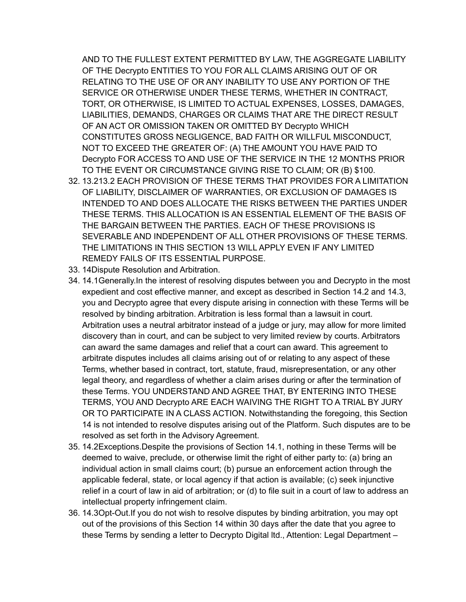AND TO THE FULLEST EXTENT PERMITTED BY LAW, THE AGGREGATE LIABILITY OF THE Decrypto ENTITIES TO YOU FOR ALL CLAIMS ARISING OUT OF OR RELATING TO THE USE OF OR ANY INABILITY TO USE ANY PORTION OF THE SERVICE OR OTHERWISE UNDER THESE TERMS, WHETHER IN CONTRACT, TORT, OR OTHERWISE, IS LIMITED TO ACTUAL EXPENSES, LOSSES, DAMAGES, LIABILITIES, DEMANDS, CHARGES OR CLAIMS THAT ARE THE DIRECT RESULT OF AN ACT OR OMISSION TAKEN OR OMITTED BY Decrypto WHICH CONSTITUTES GROSS NEGLIGENCE, BAD FAITH OR WILLFUL MISCONDUCT, NOT TO EXCEED THE GREATER OF: (A) THE AMOUNT YOU HAVE PAID TO Decrypto FOR ACCESS TO AND USE OF THE SERVICE IN THE 12 MONTHS PRIOR TO THE EVENT OR CIRCUMSTANCE GIVING RISE TO CLAIM; OR (B) \$100.

- 32. 13.213.2 EACH PROVISION OF THESE TERMS THAT PROVIDES FOR A LIMITATION OF LIABILITY, DISCLAIMER OF WARRANTIES, OR EXCLUSION OF DAMAGES IS INTENDED TO AND DOES ALLOCATE THE RISKS BETWEEN THE PARTIES UNDER THESE TERMS. THIS ALLOCATION IS AN ESSENTIAL ELEMENT OF THE BASIS OF THE BARGAIN BETWEEN THE PARTIES. EACH OF THESE PROVISIONS IS SEVERABLE AND INDEPENDENT OF ALL OTHER PROVISIONS OF THESE TERMS. THE LIMITATIONS IN THIS SECTION 13 WILL APPLY EVEN IF ANY LIMITED REMEDY FAILS OF ITS ESSENTIAL PURPOSE.
- 33. 14Dispute Resolution and Arbitration.
- 34. 14.1Generally.In the interest of resolving disputes between you and Decrypto in the most expedient and cost effective manner, and except as described in Section 14.2 and 14.3, you and Decrypto agree that every dispute arising in connection with these Terms will be resolved by binding arbitration. Arbitration is less formal than a lawsuit in court. Arbitration uses a neutral arbitrator instead of a judge or jury, may allow for more limited discovery than in court, and can be subject to very limited review by courts. Arbitrators can award the same damages and relief that a court can award. This agreement to arbitrate disputes includes all claims arising out of or relating to any aspect of these Terms, whether based in contract, tort, statute, fraud, misrepresentation, or any other legal theory, and regardless of whether a claim arises during or after the termination of these Terms. YOU UNDERSTAND AND AGREE THAT, BY ENTERING INTO THESE TERMS, YOU AND Decrypto ARE EACH WAIVING THE RIGHT TO A TRIAL BY JURY OR TO PARTICIPATE IN A CLASS ACTION. Notwithstanding the foregoing, this Section 14 is not intended to resolve disputes arising out of the Platform. Such disputes are to be resolved as set forth in the Advisory Agreement.
- 35. 14.2Exceptions.Despite the provisions of Section 14.1, nothing in these Terms will be deemed to waive, preclude, or otherwise limit the right of either party to: (a) bring an individual action in small claims court; (b) pursue an enforcement action through the applicable federal, state, or local agency if that action is available; (c) seek injunctive relief in a court of law in aid of arbitration; or (d) to file suit in a court of law to address an intellectual property infringement claim.
- 36. 14.3Opt-Out.If you do not wish to resolve disputes by binding arbitration, you may opt out of the provisions of this Section 14 within 30 days after the date that you agree to these Terms by sending a letter to Decrypto Digital ltd., Attention: Legal Department –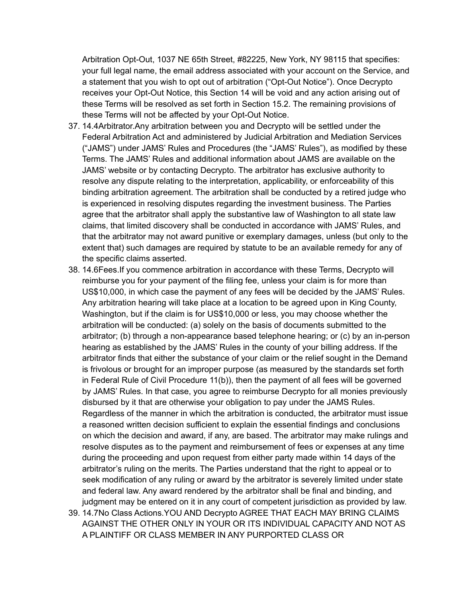Arbitration Opt-Out, 1037 NE 65th Street, #82225, New York, NY 98115 that specifies: your full legal name, the email address associated with your account on the Service, and a statement that you wish to opt out of arbitration ("Opt-Out Notice"). Once Decrypto receives your Opt-Out Notice, this Section 14 will be void and any action arising out of these Terms will be resolved as set forth in Section 15.2. The remaining provisions of these Terms will not be affected by your Opt-Out Notice.

- 37. 14.4Arbitrator.Any arbitration between you and Decrypto will be settled under the Federal Arbitration Act and administered by Judicial Arbitration and Mediation Services ("JAMS") under JAMS' Rules and Procedures (the "JAMS' Rules"), as modified by these Terms. The JAMS' Rules and additional information about JAMS are available on the JAMS' website or by contacting Decrypto. The arbitrator has exclusive authority to resolve any dispute relating to the interpretation, applicability, or enforceability of this binding arbitration agreement. The arbitration shall be conducted by a retired judge who is experienced in resolving disputes regarding the investment business. The Parties agree that the arbitrator shall apply the substantive law of Washington to all state law claims, that limited discovery shall be conducted in accordance with JAMS' Rules, and that the arbitrator may not award punitive or exemplary damages, unless (but only to the extent that) such damages are required by statute to be an available remedy for any of the specific claims asserted.
- 38. 14.6Fees.If you commence arbitration in accordance with these Terms, Decrypto will reimburse you for your payment of the filing fee, unless your claim is for more than US\$10,000, in which case the payment of any fees will be decided by the JAMS' Rules. Any arbitration hearing will take place at a location to be agreed upon in King County, Washington, but if the claim is for US\$10,000 or less, you may choose whether the arbitration will be conducted: (a) solely on the basis of documents submitted to the arbitrator; (b) through a non-appearance based telephone hearing; or (c) by an in-person hearing as established by the JAMS' Rules in the county of your billing address. If the arbitrator finds that either the substance of your claim or the relief sought in the Demand is frivolous or brought for an improper purpose (as measured by the standards set forth in Federal Rule of Civil Procedure 11(b)), then the payment of all fees will be governed by JAMS' Rules. In that case, you agree to reimburse Decrypto for all monies previously disbursed by it that are otherwise your obligation to pay under the JAMS Rules. Regardless of the manner in which the arbitration is conducted, the arbitrator must issue a reasoned written decision sufficient to explain the essential findings and conclusions on which the decision and award, if any, are based. The arbitrator may make rulings and resolve disputes as to the payment and reimbursement of fees or expenses at any time during the proceeding and upon request from either party made within 14 days of the arbitrator's ruling on the merits. The Parties understand that the right to appeal or to seek modification of any ruling or award by the arbitrator is severely limited under state and federal law. Any award rendered by the arbitrator shall be final and binding, and judgment may be entered on it in any court of competent jurisdiction as provided by law. 39. 14.7No Class Actions.YOU AND Decrypto AGREE THAT EACH MAY BRING CLAIMS AGAINST THE OTHER ONLY IN YOUR OR ITS INDIVIDUAL CAPACITY AND NOT AS A PLAINTIFF OR CLASS MEMBER IN ANY PURPORTED CLASS OR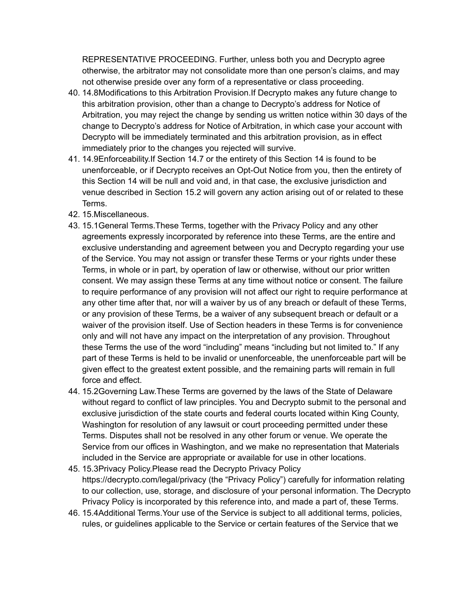REPRESENTATIVE PROCEEDING. Further, unless both you and Decrypto agree otherwise, the arbitrator may not consolidate more than one person's claims, and may not otherwise preside over any form of a representative or class proceeding.

- 40. 14.8Modifications to this Arbitration Provision.If Decrypto makes any future change to this arbitration provision, other than a change to Decrypto's address for Notice of Arbitration, you may reject the change by sending us written notice within 30 days of the change to Decrypto's address for Notice of Arbitration, in which case your account with Decrypto will be immediately terminated and this arbitration provision, as in effect immediately prior to the changes you rejected will survive.
- 41. 14.9Enforceability.If Section 14.7 or the entirety of this Section 14 is found to be unenforceable, or if Decrypto receives an Opt-Out Notice from you, then the entirety of this Section 14 will be null and void and, in that case, the exclusive jurisdiction and venue described in Section 15.2 will govern any action arising out of or related to these Terms.
- 42. 15.Miscellaneous.
- 43. 15.1General Terms.These Terms, together with the Privacy Policy and any other agreements expressly incorporated by reference into these Terms, are the entire and exclusive understanding and agreement between you and Decrypto regarding your use of the Service. You may not assign or transfer these Terms or your rights under these Terms, in whole or in part, by operation of law or otherwise, without our prior written consent. We may assign these Terms at any time without notice or consent. The failure to require performance of any provision will not affect our right to require performance at any other time after that, nor will a waiver by us of any breach or default of these Terms, or any provision of these Terms, be a waiver of any subsequent breach or default or a waiver of the provision itself. Use of Section headers in these Terms is for convenience only and will not have any impact on the interpretation of any provision. Throughout these Terms the use of the word "including" means "including but not limited to." If any part of these Terms is held to be invalid or unenforceable, the unenforceable part will be given effect to the greatest extent possible, and the remaining parts will remain in full force and effect.
- 44. 15.2Governing Law.These Terms are governed by the laws of the State of Delaware without regard to conflict of law principles. You and Decrypto submit to the personal and exclusive jurisdiction of the state courts and federal courts located within King County, Washington for resolution of any lawsuit or court proceeding permitted under these Terms. Disputes shall not be resolved in any other forum or venue. We operate the Service from our offices in Washington, and we make no representation that Materials included in the Service are appropriate or available for use in other locations.
- 45. 15.3Privacy Policy.Please read the Decrypto Privacy Policy https://decrypto.com/legal/privacy (the "Privacy Policy") carefully for information relating to our collection, use, storage, and disclosure of your personal information. The Decrypto Privacy Policy is incorporated by this reference into, and made a part of, these Terms.
- 46. 15.4Additional Terms.Your use of the Service is subject to all additional terms, policies, rules, or guidelines applicable to the Service or certain features of the Service that we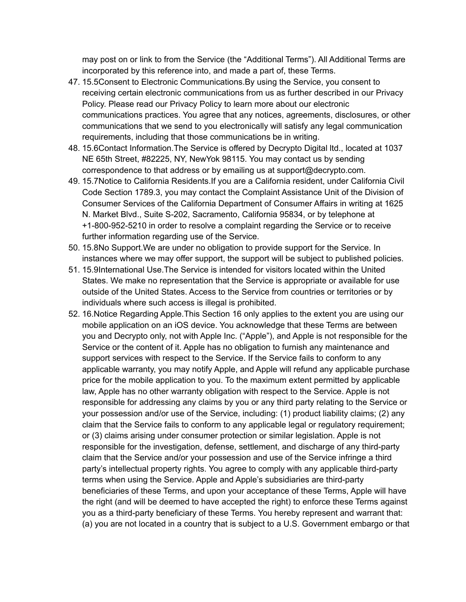may post on or link to from the Service (the "Additional Terms"). All Additional Terms are incorporated by this reference into, and made a part of, these Terms.

- 47. 15.5Consent to Electronic Communications.By using the Service, you consent to receiving certain electronic communications from us as further described in our Privacy Policy. Please read our Privacy Policy to learn more about our electronic communications practices. You agree that any notices, agreements, disclosures, or other communications that we send to you electronically will satisfy any legal communication requirements, including that those communications be in writing.
- 48. 15.6Contact Information.The Service is offered by Decrypto Digital ltd., located at 1037 NE 65th Street, #82225, NY, NewYok 98115. You may contact us by sending correspondence to that address or by emailing us at support@decrypto.com.
- 49. 15.7Notice to California Residents.If you are a California resident, under California Civil Code Section 1789.3, you may contact the Complaint Assistance Unit of the Division of Consumer Services of the California Department of Consumer Affairs in writing at 1625 N. Market Blvd., Suite S-202, Sacramento, California 95834, or by telephone at +1-800-952-5210 in order to resolve a complaint regarding the Service or to receive further information regarding use of the Service.
- 50. 15.8No Support.We are under no obligation to provide support for the Service. In instances where we may offer support, the support will be subject to published policies.
- 51. 15.9International Use.The Service is intended for visitors located within the United States. We make no representation that the Service is appropriate or available for use outside of the United States. Access to the Service from countries or territories or by individuals where such access is illegal is prohibited.
- 52. 16.Notice Regarding Apple.This Section 16 only applies to the extent you are using our mobile application on an iOS device. You acknowledge that these Terms are between you and Decrypto only, not with Apple Inc. ("Apple"), and Apple is not responsible for the Service or the content of it. Apple has no obligation to furnish any maintenance and support services with respect to the Service. If the Service fails to conform to any applicable warranty, you may notify Apple, and Apple will refund any applicable purchase price for the mobile application to you. To the maximum extent permitted by applicable law, Apple has no other warranty obligation with respect to the Service. Apple is not responsible for addressing any claims by you or any third party relating to the Service or your possession and/or use of the Service, including: (1) product liability claims; (2) any claim that the Service fails to conform to any applicable legal or regulatory requirement; or (3) claims arising under consumer protection or similar legislation. Apple is not responsible for the investigation, defense, settlement, and discharge of any third-party claim that the Service and/or your possession and use of the Service infringe a third party's intellectual property rights. You agree to comply with any applicable third-party terms when using the Service. Apple and Apple's subsidiaries are third-party beneficiaries of these Terms, and upon your acceptance of these Terms, Apple will have the right (and will be deemed to have accepted the right) to enforce these Terms against you as a third-party beneficiary of these Terms. You hereby represent and warrant that: (a) you are not located in a country that is subject to a U.S. Government embargo or that